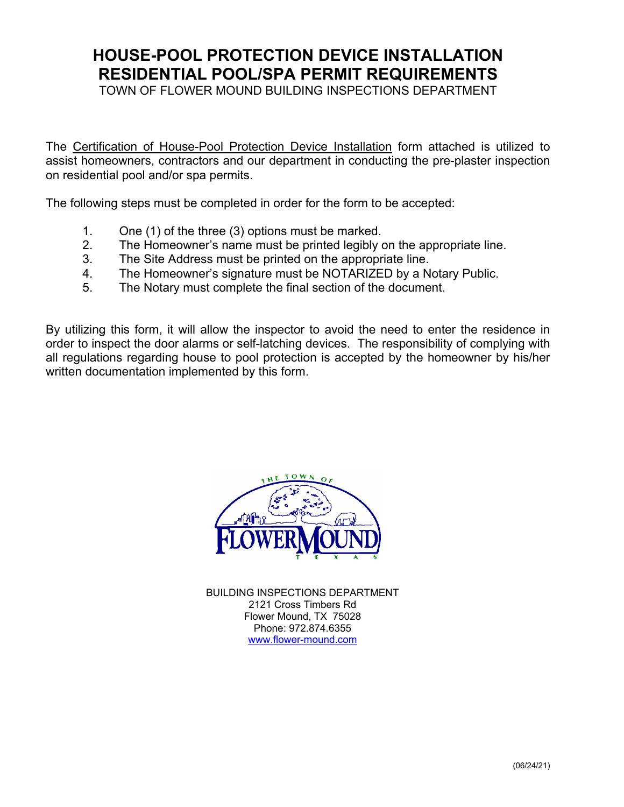## **HOUSE-POOL PROTECTION DEVICE INSTALLATION RESIDENTIAL POOL/SPA PERMIT REQUIREMENTS**

TOWN OF FLOWER MOUND BUILDING INSPECTIONS DEPARTMENT

The Certification of House-Pool Protection Device Installation form attached is utilized to assist homeowners, contractors and our department in conducting the pre-plaster inspection on residential pool and/or spa permits.

The following steps must be completed in order for the form to be accepted:

- 1. One (1) of the three (3) options must be marked.
- 2. The Homeowner's name must be printed legibly on the appropriate line.
- 3. The Site Address must be printed on the appropriate line.
- 4. The Homeowner's signature must be NOTARIZED by a Notary Public.
- 5. The Notary must complete the final section of the document.

By utilizing this form, it will allow the inspector to avoid the need to enter the residence in order to inspect the door alarms or self-latching devices. The responsibility of complying with all regulations regarding house to pool protection is accepted by the homeowner by his/her written documentation implemented by this form.



BUILDING INSPECTIONS DEPARTMENT 2121 Cross Timbers Rd Flower Mound, TX 75028 Phone: 972.874.6355 www.flower-mound.com